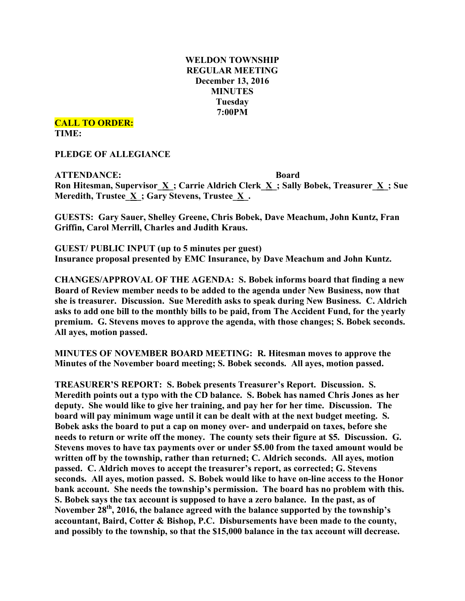# **WELDON TOWNSHIP REGULAR MEETING December 13, 2016 MINUTES Tuesday 7:00PM**

**CALL TO ORDER: TIME:**

**PLEDGE OF ALLEGIANCE**

**ATTENDANCE: Board Ron Hitesman, Supervisor\_X\_; Carrie Aldrich Clerk\_X\_; Sally Bobek, Treasurer\_X\_; Sue Meredith, Trustee\_X\_; Gary Stevens, Trustee\_X\_.**

**GUESTS: Gary Sauer, Shelley Greene, Chris Bobek, Dave Meachum, John Kuntz, Fran Griffin, Carol Merrill, Charles and Judith Kraus.**

**GUEST/ PUBLIC INPUT (up to 5 minutes per guest) Insurance proposal presented by EMC Insurance, by Dave Meachum and John Kuntz.**

**CHANGES/APPROVAL OF THE AGENDA: S. Bobek informs board that finding a new Board of Review member needs to be added to the agenda under New Business, now that she is treasurer. Discussion. Sue Meredith asks to speak during New Business. C. Aldrich asks to add one bill to the monthly bills to be paid, from The Accident Fund, for the yearly premium. G. Stevens moves to approve the agenda, with those changes; S. Bobek seconds. All ayes, motion passed.**

**MINUTES OF NOVEMBER BOARD MEETING: R. Hitesman moves to approve the Minutes of the November board meeting; S. Bobek seconds. All ayes, motion passed.**

**TREASURER'S REPORT: S. Bobek presents Treasurer's Report. Discussion. S. Meredith points out a typo with the CD balance. S. Bobek has named Chris Jones as her deputy. She would like to give her training, and pay her for her time. Discussion. The board will pay minimum wage until it can be dealt with at the next budget meeting. S. Bobek asks the board to put a cap on money over- and underpaid on taxes, before she needs to return or write off the money. The county sets their figure at \$5. Discussion. G. Stevens moves to have tax payments over or under \$5.00 from the taxed amount would be written off by the township, rather than returned; C. Aldrich seconds. All ayes, motion passed. C. Aldrich moves to accept the treasurer's report, as corrected; G. Stevens seconds. All ayes, motion passed. S. Bobek would like to have on-line access to the Honor bank account. She needs the township's permission. The board has no problem with this. S. Bobek says the tax account is supposed to have a zero balance. In the past, as of November 28th, 2016, the balance agreed with the balance supported by the township's accountant, Baird, Cotter & Bishop, P.C. Disbursements have been made to the county, and possibly to the township, so that the \$15,000 balance in the tax account will decrease.**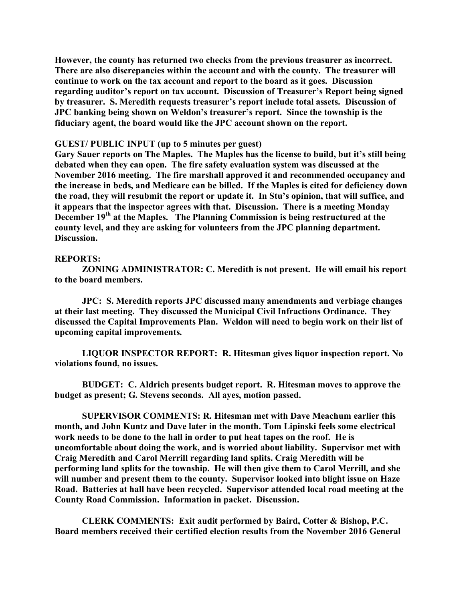**However, the county has returned two checks from the previous treasurer as incorrect. There are also discrepancies within the account and with the county. The treasurer will continue to work on the tax account and report to the board as it goes. Discussion regarding auditor's report on tax account. Discussion of Treasurer's Report being signed by treasurer. S. Meredith requests treasurer's report include total assets. Discussion of JPC banking being shown on Weldon's treasurer's report. Since the township is the fiduciary agent, the board would like the JPC account shown on the report.**

#### **GUEST/ PUBLIC INPUT (up to 5 minutes per guest)**

**Gary Sauer reports on The Maples. The Maples has the license to build, but it's still being debated when they can open. The fire safety evaluation system was discussed at the November 2016 meeting. The fire marshall approved it and recommended occupancy and the increase in beds, and Medicare can be billed. If the Maples is cited for deficiency down the road, they will resubmit the report or update it. In Stu's opinion, that will suffice, and it appears that the inspector agrees with that. Discussion. There is a meeting Monday December 19th at the Maples. The Planning Commission is being restructured at the county level, and they are asking for volunteers from the JPC planning department. Discussion.**

#### **REPORTS:**

**ZONING ADMINISTRATOR: C. Meredith is not present. He will email his report to the board members.**

**JPC: S. Meredith reports JPC discussed many amendments and verbiage changes at their last meeting. They discussed the Municipal Civil Infractions Ordinance. They discussed the Capital Improvements Plan. Weldon will need to begin work on their list of upcoming capital improvements.**

**LIQUOR INSPECTOR REPORT: R. Hitesman gives liquor inspection report. No violations found, no issues.**

**BUDGET: C. Aldrich presents budget report. R. Hitesman moves to approve the budget as present; G. Stevens seconds. All ayes, motion passed.**

**SUPERVISOR COMMENTS: R. Hitesman met with Dave Meachum earlier this month, and John Kuntz and Dave later in the month. Tom Lipinski feels some electrical work needs to be done to the hall in order to put heat tapes on the roof. He is uncomfortable about doing the work, and is worried about liability. Supervisor met with Craig Meredith and Carol Merrill regarding land splits. Craig Meredith will be performing land splits for the township. He will then give them to Carol Merrill, and she will number and present them to the county. Supervisor looked into blight issue on Haze Road. Batteries at hall have been recycled. Supervisor attended local road meeting at the County Road Commission. Information in packet. Discussion.**

**CLERK COMMENTS: Exit audit performed by Baird, Cotter & Bishop, P.C. Board members received their certified election results from the November 2016 General**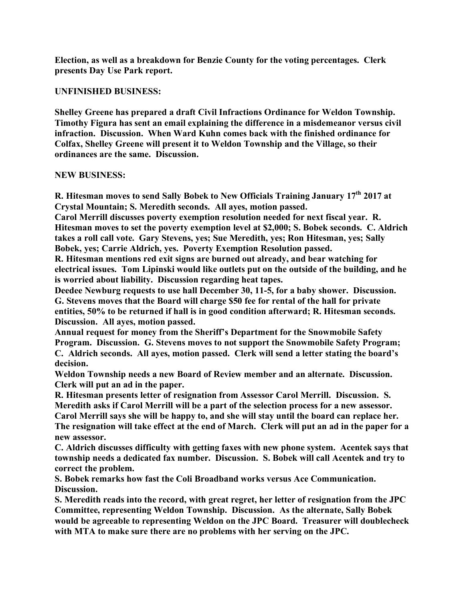**Election, as well as a breakdown for Benzie County for the voting percentages. Clerk presents Day Use Park report.**

## **UNFINISHED BUSINESS:**

**Shelley Greene has prepared a draft Civil Infractions Ordinance for Weldon Township. Timothy Figura has sent an email explaining the difference in a misdemeanor versus civil infraction. Discussion. When Ward Kuhn comes back with the finished ordinance for Colfax, Shelley Greene will present it to Weldon Township and the Village, so their ordinances are the same. Discussion.**

### **NEW BUSINESS:**

**R. Hitesman moves to send Sally Bobek to New Officials Training January 17th 2017 at Crystal Mountain; S. Meredith seconds. All ayes, motion passed.**

**Carol Merrill discusses poverty exemption resolution needed for next fiscal year. R. Hitesman moves to set the poverty exemption level at \$2,000; S. Bobek seconds. C. Aldrich takes a roll call vote. Gary Stevens, yes; Sue Meredith, yes; Ron Hitesman, yes; Sally Bobek, yes; Carrie Aldrich, yes. Poverty Exemption Resolution passed.**

**R. Hitesman mentions red exit signs are burned out already, and bear watching for electrical issues. Tom Lipinski would like outlets put on the outside of the building, and he is worried about liability. Discussion regarding heat tapes.**

**Deedee Newburg requests to use hall December 30, 11-5, for a baby shower. Discussion. G. Stevens moves that the Board will charge \$50 fee for rental of the hall for private entities, 50% to be returned if hall is in good condition afterward; R. Hitesman seconds. Discussion. All ayes, motion passed.**

**Annual request for money from the Sheriff's Department for the Snowmobile Safety Program. Discussion. G. Stevens moves to not support the Snowmobile Safety Program; C. Aldrich seconds. All ayes, motion passed. Clerk will send a letter stating the board's decision.**

**Weldon Township needs a new Board of Review member and an alternate. Discussion. Clerk will put an ad in the paper.**

**R. Hitesman presents letter of resignation from Assessor Carol Merrill. Discussion. S. Meredith asks if Carol Merrill will be a part of the selection process for a new assessor. Carol Merrill says she will be happy to, and she will stay until the board can replace her.** The resignation will take effect at the end of March. Clerk will put an ad in the paper for a **new assessor.**

**C. Aldrich discusses difficulty with getting faxes with new phone system. Acentek says that township needs a dedicated fax number. Discussion. S. Bobek will call Acentek and try to correct the problem.**

**S. Bobek remarks how fast the Coli Broadband works versus Ace Communication. Discussion.**

**S. Meredith reads into the record, with great regret, her letter of resignation from the JPC Committee, representing Weldon Township. Discussion. As the alternate, Sally Bobek would be agreeable to representing Weldon on the JPC Board. Treasurer will doublecheck with MTA to make sure there are no problems with her serving on the JPC.**